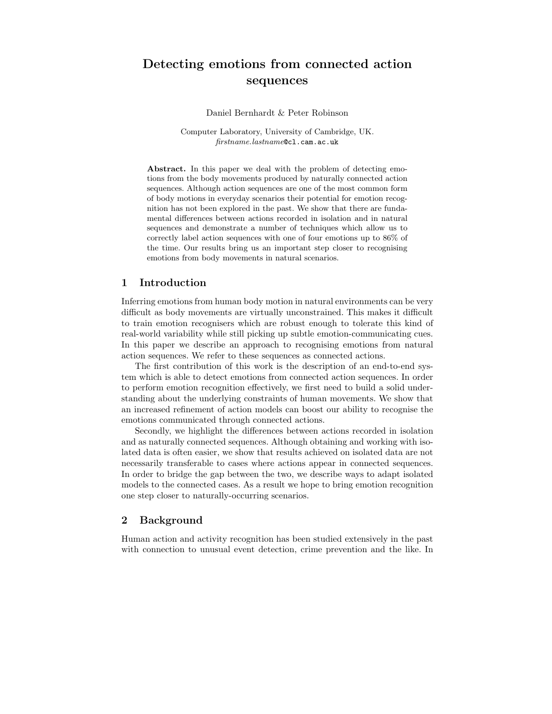# Detecting emotions from connected action sequences

Daniel Bernhardt & Peter Robinson

Computer Laboratory, University of Cambridge, UK. firstname.lastname@cl.cam.ac.uk

Abstract. In this paper we deal with the problem of detecting emotions from the body movements produced by naturally connected action sequences. Although action sequences are one of the most common form of body motions in everyday scenarios their potential for emotion recognition has not been explored in the past. We show that there are fundamental differences between actions recorded in isolation and in natural sequences and demonstrate a number of techniques which allow us to correctly label action sequences with one of four emotions up to 86% of the time. Our results bring us an important step closer to recognising emotions from body movements in natural scenarios.

## 1 Introduction

Inferring emotions from human body motion in natural environments can be very difficult as body movements are virtually unconstrained. This makes it difficult to train emotion recognisers which are robust enough to tolerate this kind of real-world variability while still picking up subtle emotion-communicating cues. In this paper we describe an approach to recognising emotions from natural action sequences. We refer to these sequences as connected actions.

The first contribution of this work is the description of an end-to-end system which is able to detect emotions from connected action sequences. In order to perform emotion recognition effectively, we first need to build a solid understanding about the underlying constraints of human movements. We show that an increased refinement of action models can boost our ability to recognise the emotions communicated through connected actions.

Secondly, we highlight the differences between actions recorded in isolation and as naturally connected sequences. Although obtaining and working with isolated data is often easier, we show that results achieved on isolated data are not necessarily transferable to cases where actions appear in connected sequences. In order to bridge the gap between the two, we describe ways to adapt isolated models to the connected cases. As a result we hope to bring emotion recognition one step closer to naturally-occurring scenarios.

# 2 Background

Human action and activity recognition has been studied extensively in the past with connection to unusual event detection, crime prevention and the like. In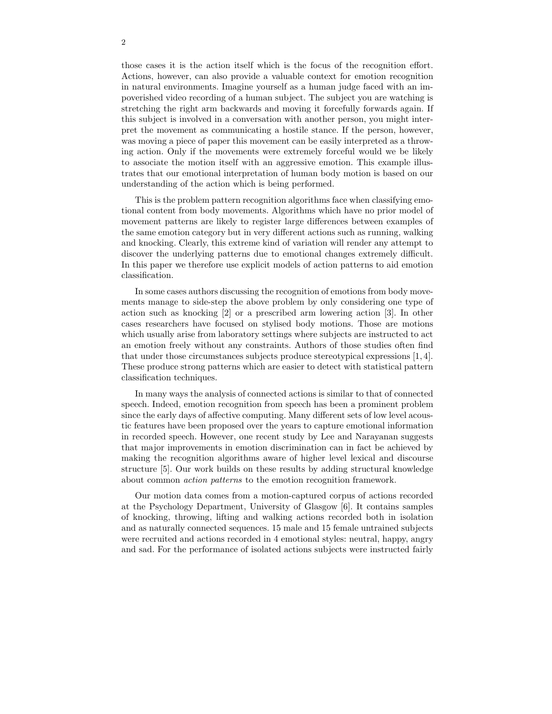those cases it is the action itself which is the focus of the recognition effort. Actions, however, can also provide a valuable context for emotion recognition in natural environments. Imagine yourself as a human judge faced with an impoverished video recording of a human subject. The subject you are watching is stretching the right arm backwards and moving it forcefully forwards again. If this subject is involved in a conversation with another person, you might interpret the movement as communicating a hostile stance. If the person, however, was moving a piece of paper this movement can be easily interpreted as a throwing action. Only if the movements were extremely forceful would we be likely to associate the motion itself with an aggressive emotion. This example illustrates that our emotional interpretation of human body motion is based on our understanding of the action which is being performed.

This is the problem pattern recognition algorithms face when classifying emotional content from body movements. Algorithms which have no prior model of movement patterns are likely to register large differences between examples of the same emotion category but in very different actions such as running, walking and knocking. Clearly, this extreme kind of variation will render any attempt to discover the underlying patterns due to emotional changes extremely difficult. In this paper we therefore use explicit models of action patterns to aid emotion classification.

In some cases authors discussing the recognition of emotions from body movements manage to side-step the above problem by only considering one type of action such as knocking [2] or a prescribed arm lowering action [3]. In other cases researchers have focused on stylised body motions. Those are motions which usually arise from laboratory settings where subjects are instructed to act an emotion freely without any constraints. Authors of those studies often find that under those circumstances subjects produce stereotypical expressions [1, 4]. These produce strong patterns which are easier to detect with statistical pattern classification techniques.

In many ways the analysis of connected actions is similar to that of connected speech. Indeed, emotion recognition from speech has been a prominent problem since the early days of affective computing. Many different sets of low level acoustic features have been proposed over the years to capture emotional information in recorded speech. However, one recent study by Lee and Narayanan suggests that major improvements in emotion discrimination can in fact be achieved by making the recognition algorithms aware of higher level lexical and discourse structure [5]. Our work builds on these results by adding structural knowledge about common action patterns to the emotion recognition framework.

Our motion data comes from a motion-captured corpus of actions recorded at the Psychology Department, University of Glasgow [6]. It contains samples of knocking, throwing, lifting and walking actions recorded both in isolation and as naturally connected sequences. 15 male and 15 female untrained subjects were recruited and actions recorded in 4 emotional styles: neutral, happy, angry and sad. For the performance of isolated actions subjects were instructed fairly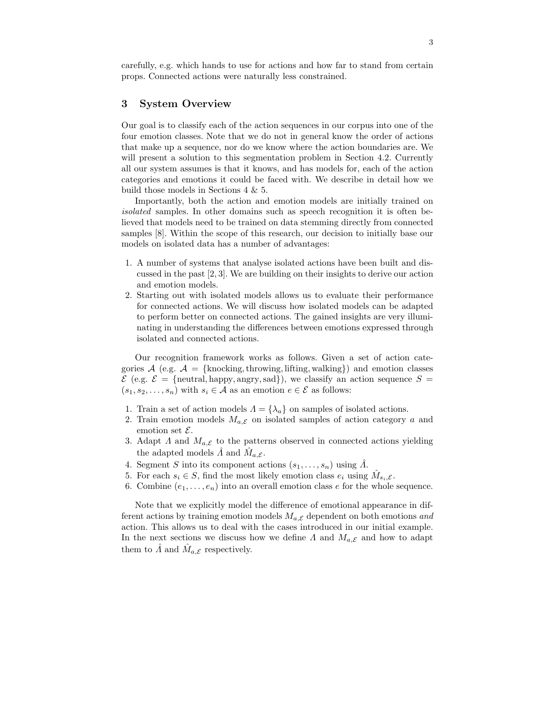carefully, e.g. which hands to use for actions and how far to stand from certain props. Connected actions were naturally less constrained.

## 3 System Overview

Our goal is to classify each of the action sequences in our corpus into one of the four emotion classes. Note that we do not in general know the order of actions that make up a sequence, nor do we know where the action boundaries are. We will present a solution to this segmentation problem in Section 4.2. Currently all our system assumes is that it knows, and has models for, each of the action categories and emotions it could be faced with. We describe in detail how we build those models in Sections 4 & 5.

Importantly, both the action and emotion models are initially trained on isolated samples. In other domains such as speech recognition it is often believed that models need to be trained on data stemming directly from connected samples [8]. Within the scope of this research, our decision to initially base our models on isolated data has a number of advantages:

- 1. A number of systems that analyse isolated actions have been built and discussed in the past [2, 3]. We are building on their insights to derive our action and emotion models.
- 2. Starting out with isolated models allows us to evaluate their performance for connected actions. We will discuss how isolated models can be adapted to perform better on connected actions. The gained insights are very illuminating in understanding the differences between emotions expressed through isolated and connected actions.

Our recognition framework works as follows. Given a set of action categories  $\mathcal{A}$  (e.g.  $\mathcal{A} = \{\text{knocking}, \text{through, lifting}, \text{walking}\}\$  and emotion classes  $\mathcal{E}$  (e.g.  $\mathcal{E} = \{\text{neutral, happy, angry, sad}\}\)$ , we classify an action sequence  $S =$  $(s_1, s_2, \ldots, s_n)$  with  $s_i \in \mathcal{A}$  as an emotion  $e \in \mathcal{E}$  as follows:

- 1. Train a set of action models  $\Lambda = {\lambda_a}$  on samples of isolated actions.
- 2. Train emotion models  $M_{a,\mathcal{E}}$  on isolated samples of action category a and emotion set  $\mathcal{E}$ .
- 3. Adapt  $\Lambda$  and  $M_{a,\mathcal{E}}$  to the patterns observed in connected actions yielding the adapted models  $\hat{A}$  and  $\hat{M}_{a,\mathcal{E}}$ .
- 4. Segment S into its component actions  $(s_1, \ldots, s_n)$  using  $\tilde{A}$ .
- 5. For each  $s_i \in S$ , find the most likely emotion class  $e_i$  using  $\hat{M}_{s_i,\mathcal{E}}$ .
- 6. Combine  $(e_1, \ldots, e_n)$  into an overall emotion class e for the whole sequence.

Note that we explicitly model the difference of emotional appearance in different actions by training emotion models  $M_{a,\mathcal{E}}$  dependent on both emotions and action. This allows us to deal with the cases introduced in our initial example. In the next sections we discuss how we define  $\Lambda$  and  $M_{a,\mathcal{E}}$  and how to adapt them to  $\hat{\Lambda}$  and  $\hat{M}_{a,\mathcal{E}}$  respectively.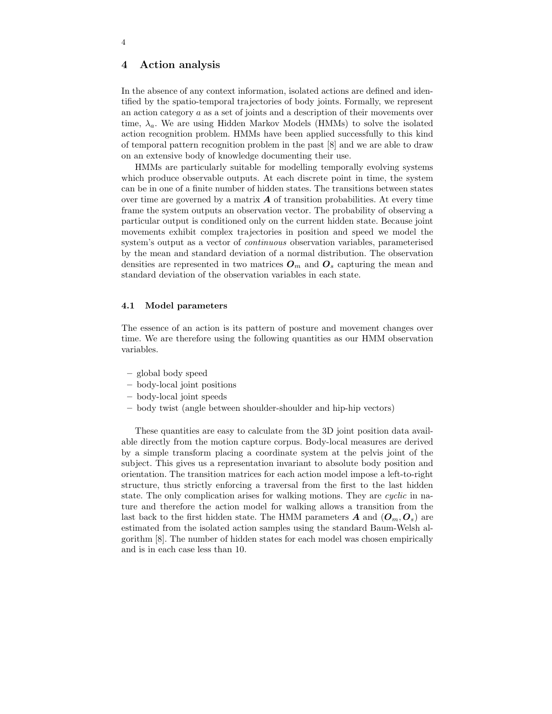## 4 Action analysis

In the absence of any context information, isolated actions are defined and identified by the spatio-temporal trajectories of body joints. Formally, we represent an action category a as a set of joints and a description of their movements over time,  $\lambda_a$ . We are using Hidden Markov Models (HMMs) to solve the isolated action recognition problem. HMMs have been applied successfully to this kind of temporal pattern recognition problem in the past [8] and we are able to draw on an extensive body of knowledge documenting their use.

HMMs are particularly suitable for modelling temporally evolving systems which produce observable outputs. At each discrete point in time, the system can be in one of a finite number of hidden states. The transitions between states over time are governed by a matrix  $\boldsymbol{A}$  of transition probabilities. At every time frame the system outputs an observation vector. The probability of observing a particular output is conditioned only on the current hidden state. Because joint movements exhibit complex trajectories in position and speed we model the system's output as a vector of continuous observation variables, parameterised by the mean and standard deviation of a normal distribution. The observation densities are represented in two matrices  $O_m$  and  $O_s$  capturing the mean and standard deviation of the observation variables in each state.

## 4.1 Model parameters

The essence of an action is its pattern of posture and movement changes over time. We are therefore using the following quantities as our HMM observation variables.

- global body speed
- body-local joint positions
- body-local joint speeds
- body twist (angle between shoulder-shoulder and hip-hip vectors)

These quantities are easy to calculate from the 3D joint position data available directly from the motion capture corpus. Body-local measures are derived by a simple transform placing a coordinate system at the pelvis joint of the subject. This gives us a representation invariant to absolute body position and orientation. The transition matrices for each action model impose a left-to-right structure, thus strictly enforcing a traversal from the first to the last hidden state. The only complication arises for walking motions. They are cyclic in nature and therefore the action model for walking allows a transition from the last back to the first hidden state. The HMM parameters **A** and  $(O_m, O_s)$  are estimated from the isolated action samples using the standard Baum-Welsh algorithm [8]. The number of hidden states for each model was chosen empirically and is in each case less than 10.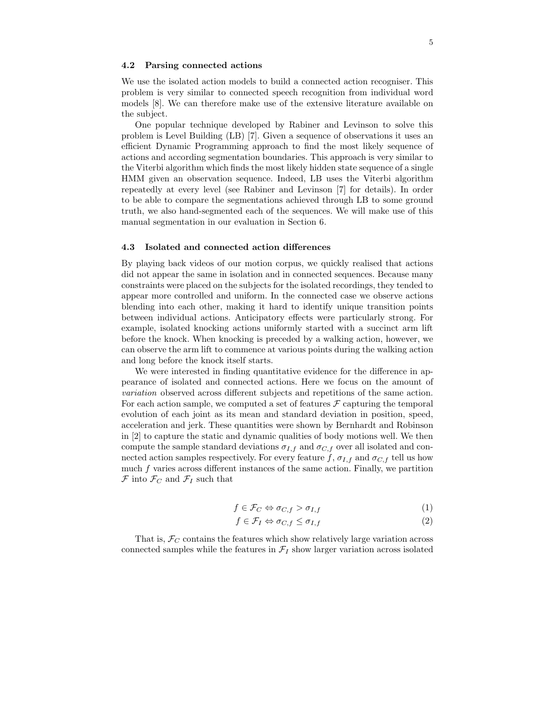#### 4.2 Parsing connected actions

We use the isolated action models to build a connected action recogniser. This problem is very similar to connected speech recognition from individual word models [8]. We can therefore make use of the extensive literature available on the subject.

One popular technique developed by Rabiner and Levinson to solve this problem is Level Building (LB) [7]. Given a sequence of observations it uses an efficient Dynamic Programming approach to find the most likely sequence of actions and according segmentation boundaries. This approach is very similar to the Viterbi algorithm which finds the most likely hidden state sequence of a single HMM given an observation sequence. Indeed, LB uses the Viterbi algorithm repeatedly at every level (see Rabiner and Levinson [7] for details). In order to be able to compare the segmentations achieved through LB to some ground truth, we also hand-segmented each of the sequences. We will make use of this manual segmentation in our evaluation in Section 6.

### 4.3 Isolated and connected action differences

By playing back videos of our motion corpus, we quickly realised that actions did not appear the same in isolation and in connected sequences. Because many constraints were placed on the subjects for the isolated recordings, they tended to appear more controlled and uniform. In the connected case we observe actions blending into each other, making it hard to identify unique transition points between individual actions. Anticipatory effects were particularly strong. For example, isolated knocking actions uniformly started with a succinct arm lift before the knock. When knocking is preceded by a walking action, however, we can observe the arm lift to commence at various points during the walking action and long before the knock itself starts.

We were interested in finding quantitative evidence for the difference in appearance of isolated and connected actions. Here we focus on the amount of variation observed across different subjects and repetitions of the same action. For each action sample, we computed a set of features  $\mathcal F$  capturing the temporal evolution of each joint as its mean and standard deviation in position, speed, acceleration and jerk. These quantities were shown by Bernhardt and Robinson in [2] to capture the static and dynamic qualities of body motions well. We then compute the sample standard deviations  $\sigma_{I,f}$  and  $\sigma_{C,f}$  over all isolated and connected action samples respectively. For every feature f,  $\sigma_{I,f}$  and  $\sigma_{C,f}$  tell us how much  $f$  varies across different instances of the same action. Finally, we partition  $\mathcal F$  into  $\mathcal F_C$  and  $\mathcal F_I$  such that

$$
f \in \mathcal{F}_C \Leftrightarrow \sigma_{C,f} > \sigma_{I,f} \tag{1}
$$

$$
f \in \mathcal{F}_I \Leftrightarrow \sigma_{C,f} \le \sigma_{I,f} \tag{2}
$$

That is,  $\mathcal{F}_C$  contains the features which show relatively large variation across connected samples while the features in  $\mathcal{F}_I$  show larger variation across isolated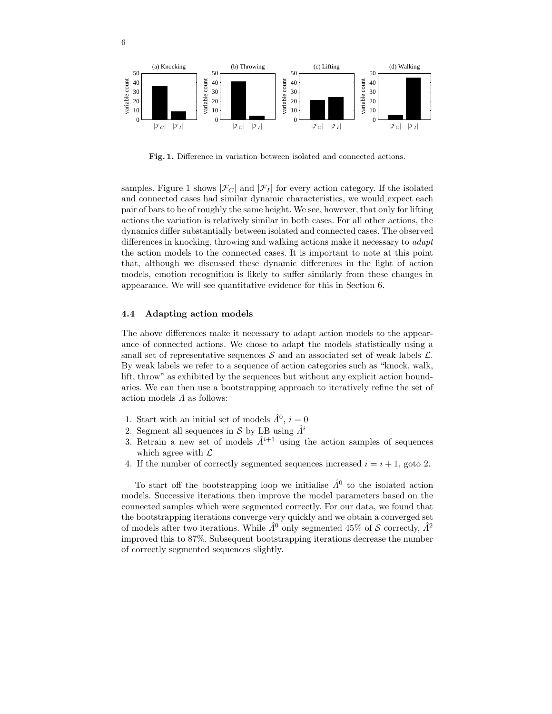

Fig. 1. Difference in variation between isolated and connected actions.

samples. Figure 1 shows  $|\mathcal{F}_C|$  and  $|\mathcal{F}_I|$  for every action category. If the isolated and connected cases had similar dynamic characteristics, we would expect each pair of bars to be of roughly the same height. We see, however, that only for lifting actions the variation is relatively similar in both cases. For all other actions, the dynamics differ substantially between isolated and connected cases. The observed differences in knocking, throwing and walking actions make it necessary to *adapt* the action models to the connected cases. It is important to note at this point that, although we discussed these dynamic differences in the light of action models, emotion recognition is likely to suffer similarly from these changes in appearance. We will see quantitative evidence for this in Section 6.

#### 4.4 Adapting action models

6

The above differences make it necessary to adapt action models to the appearance of connected actions. We chose to adapt the models statistically using a small set of representative sequences  $\mathcal S$  and an associated set of weak labels  $\mathcal L$ . By weak labels we refer to a sequence of action categories such as "knock, walk, lift, throw" as exhibited by the sequences but without any explicit action boundaries. We can then use a bootstrapping approach to iteratively refine the set of action models  $\Lambda$  as follows:

- 1. Start with an initial set of models  $\hat{A}^0$ ,  $i=0$
- 2. Segment all sequences in S by LB using  $\hat{A}^i$
- 3. Retrain a new set of models  $\hat{A}^{i+1}$  using the action samples of sequences which agree with  $\mathcal{L}$
- 4. If the number of correctly segmented sequences increased  $i = i + 1$ , goto 2.

To start off the bootstrapping loop we initialise  $\hat{A}^0$  to the isolated action models. Successive iterations then improve the model parameters based on the connected samples which were segmented correctly. For our data, we found that the bootstrapping iterations converge very quickly and we obtain a converged set of models after two iterations. While  $\hat{\Lambda}^0$  only segmented 45% of S correctly,  $\hat{\Lambda}^2$ improved this to 87%. Subsequent bootstrapping iterations decrease the number of correctly segmented sequences slightly.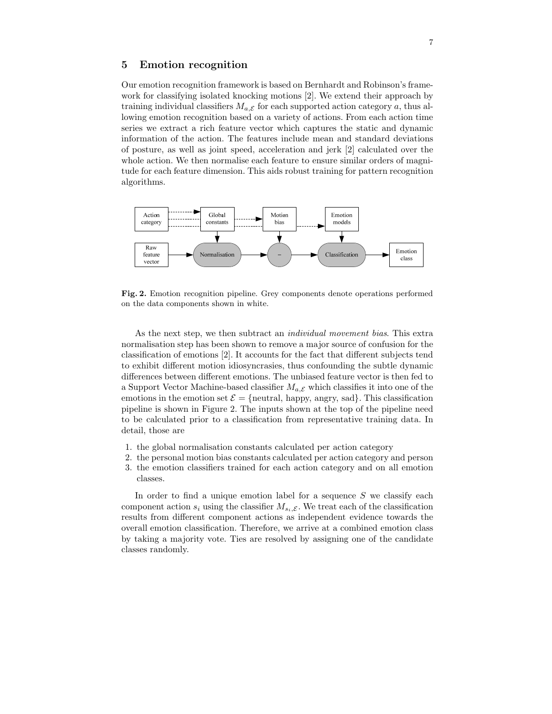## 5 Emotion recognition

Our emotion recognition framework is based on Bernhardt and Robinson's framework for classifying isolated knocking motions [2]. We extend their approach by training individual classifiers  $M_{a,\mathcal{E}}$  for each supported action category a, thus allowing emotion recognition based on a variety of actions. From each action time series we extract a rich feature vector which captures the static and dynamic information of the action. The features include mean and standard deviations of posture, as well as joint speed, acceleration and jerk [2] calculated over the whole action. We then normalise each feature to ensure similar orders of magnitude for each feature dimension. This aids robust training for pattern recognition algorithms.



Fig. 2. Emotion recognition pipeline. Grey components denote operations performed on the data components shown in white.

As the next step, we then subtract an *individual movement bias*. This extra normalisation step has been shown to remove a major source of confusion for the classification of emotions [2]. It accounts for the fact that different subjects tend to exhibit different motion idiosyncrasies, thus confounding the subtle dynamic differences between different emotions. The unbiased feature vector is then fed to a Support Vector Machine-based classifier  $M_{a,\mathcal{E}}$  which classifies it into one of the emotions in the emotion set  $\mathcal{E} = \{$  neutral, happy, angry, sad $\}$ . This classification pipeline is shown in Figure 2. The inputs shown at the top of the pipeline need to be calculated prior to a classification from representative training data. In detail, those are

- 1. the global normalisation constants calculated per action category
- 2. the personal motion bias constants calculated per action category and person 3. the emotion classifiers trained for each action category and on all emotion classes.

In order to find a unique emotion label for a sequence  $S$  we classify each component action  $s_i$  using the classifier  $M_{s_i,\mathcal{E}}$ . We treat each of the classification results from different component actions as independent evidence towards the overall emotion classification. Therefore, we arrive at a combined emotion class by taking a majority vote. Ties are resolved by assigning one of the candidate classes randomly.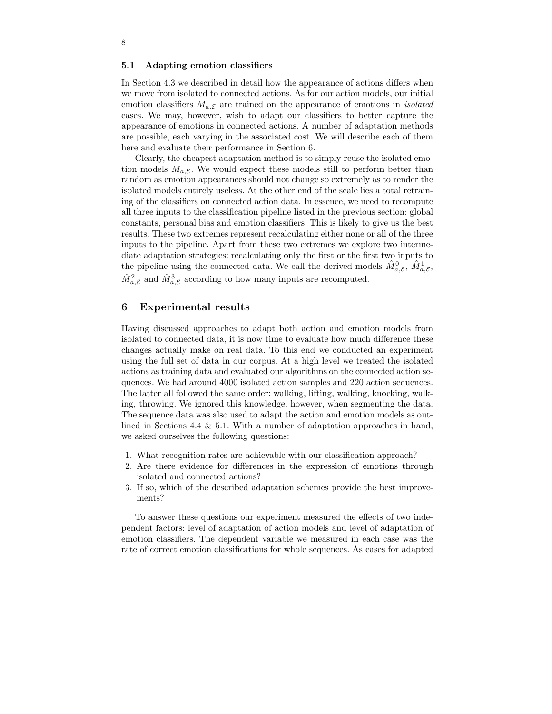#### 5.1 Adapting emotion classifiers

In Section 4.3 we described in detail how the appearance of actions differs when we move from isolated to connected actions. As for our action models, our initial emotion classifiers  $M_{a,\mathcal{E}}$  are trained on the appearance of emotions in *isolated* cases. We may, however, wish to adapt our classifiers to better capture the appearance of emotions in connected actions. A number of adaptation methods are possible, each varying in the associated cost. We will describe each of them here and evaluate their performance in Section 6.

Clearly, the cheapest adaptation method is to simply reuse the isolated emotion models  $M_{a,\mathcal{E}}$ . We would expect these models still to perform better than random as emotion appearances should not change so extremely as to render the isolated models entirely useless. At the other end of the scale lies a total retraining of the classifiers on connected action data. In essence, we need to recompute all three inputs to the classification pipeline listed in the previous section: global constants, personal bias and emotion classifiers. This is likely to give us the best results. These two extremes represent recalculating either none or all of the three inputs to the pipeline. Apart from these two extremes we explore two intermediate adaptation strategies: recalculating only the first or the first two inputs to the pipeline using the connected data. We call the derived models  $\hat{M}^0_{a,\mathcal{E}}, \hat{M}^1_{a,\mathcal{E}},$  $\hat{M}^2_{a,\mathcal{E}}$  and  $\hat{M}^3_{a,\mathcal{E}}$  according to how many inputs are recomputed.

## 6 Experimental results

Having discussed approaches to adapt both action and emotion models from isolated to connected data, it is now time to evaluate how much difference these changes actually make on real data. To this end we conducted an experiment using the full set of data in our corpus. At a high level we treated the isolated actions as training data and evaluated our algorithms on the connected action sequences. We had around 4000 isolated action samples and 220 action sequences. The latter all followed the same order: walking, lifting, walking, knocking, walking, throwing. We ignored this knowledge, however, when segmenting the data. The sequence data was also used to adapt the action and emotion models as outlined in Sections 4.4 & 5.1. With a number of adaptation approaches in hand, we asked ourselves the following questions:

- 1. What recognition rates are achievable with our classification approach?
- 2. Are there evidence for differences in the expression of emotions through isolated and connected actions?
- 3. If so, which of the described adaptation schemes provide the best improvements?

To answer these questions our experiment measured the effects of two independent factors: level of adaptation of action models and level of adaptation of emotion classifiers. The dependent variable we measured in each case was the rate of correct emotion classifications for whole sequences. As cases for adapted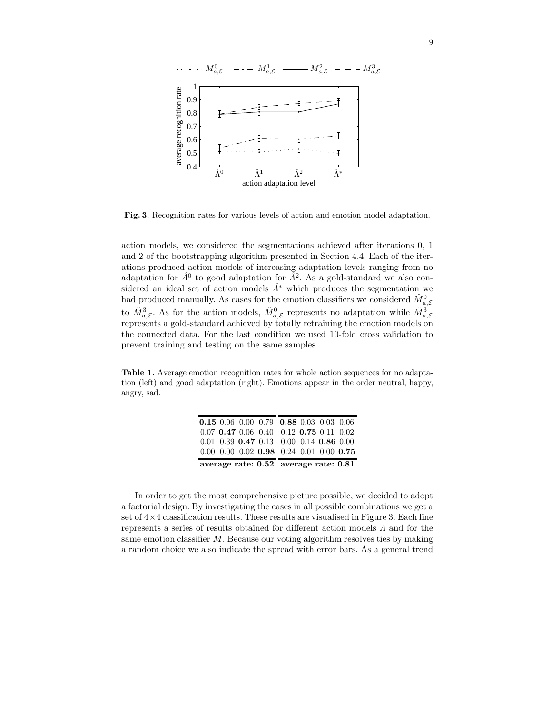

Fig. 3. Recognition rates for various levels of action and emotion model adaptation.

action models, we considered the segmentations achieved after iterations 0, 1 and 2 of the bootstrapping algorithm presented in Section 4.4. Each of the iterations produced action models of increasing adaptation levels ranging from no adaptation for  $\hat{A}^0$  to good adaptation for  $\tilde{A}^2$ . As a gold-standard we also considered an ideal set of action models  $\hat{\Lambda}^*$  which produces the segmentation we had produced manually. As cases for the emotion classifiers we considered  $\hat{M}^0_{a,\mathcal{E}}$ to  $\hat{M}^3_{a,\mathcal{E}}$ . As for the action models,  $\hat{M}^0_{a,\mathcal{E}}$  represents no adaptation while  $\hat{M}^3_{a,\mathcal{E}}$ represents a gold-standard achieved by totally retraining the emotion models on the connected data. For the last condition we used 10-fold cross validation to prevent training and testing on the same samples.

Table 1. Average emotion recognition rates for whole action sequences for no adaptation (left) and good adaptation (right). Emotions appear in the order neutral, happy, angry, sad.

| average rate: $0.52$ average rate: $0.81$ |  |  |                                                         |  |  |  |  |
|-------------------------------------------|--|--|---------------------------------------------------------|--|--|--|--|
|                                           |  |  | $0.00$ $0.00$ $0.02$ $0.98$ $0.24$ $0.01$ $0.00$ $0.75$ |  |  |  |  |
|                                           |  |  | $0.01$ $0.39$ $0.47$ $0.13$ $0.00$ $0.14$ $0.86$ $0.00$ |  |  |  |  |
|                                           |  |  | $0.07$ 0.47 0.06 0.40 0.12 0.75 0.11 0.02               |  |  |  |  |
|                                           |  |  | 0.15 0.06 0.00 0.79 0.88 0.03 0.03 0.06                 |  |  |  |  |

In order to get the most comprehensive picture possible, we decided to adopt a factorial design. By investigating the cases in all possible combinations we get a set of  $4 \times 4$  classification results. These results are visualised in Figure 3. Each line represents a series of results obtained for different action models Λ and for the same emotion classifier  $M$ . Because our voting algorithm resolves ties by making a random choice we also indicate the spread with error bars. As a general trend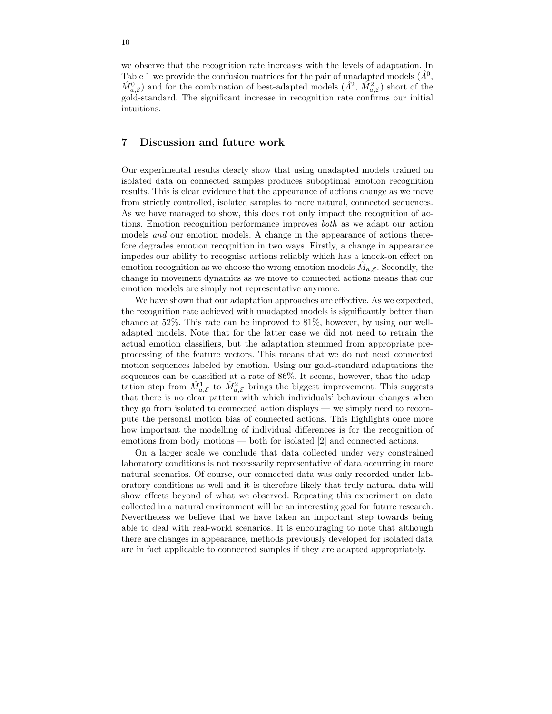we observe that the recognition rate increases with the levels of adaptation. In Table 1 we provide the confusion matrices for the pair of unadapted models  $(\hat{A}^0)$ ,  $\hat{M}^0_{a,\mathcal{E}}$  and for the combination of best-adapted models  $(\hat{A}^2, \hat{M}^2_{a,\mathcal{E}})$  short of the gold-standard. The significant increase in recognition rate confirms our initial intuitions.

## 7 Discussion and future work

Our experimental results clearly show that using unadapted models trained on isolated data on connected samples produces suboptimal emotion recognition results. This is clear evidence that the appearance of actions change as we move from strictly controlled, isolated samples to more natural, connected sequences. As we have managed to show, this does not only impact the recognition of actions. Emotion recognition performance improves both as we adapt our action models and our emotion models. A change in the appearance of actions therefore degrades emotion recognition in two ways. Firstly, a change in appearance impedes our ability to recognise actions reliably which has a knock-on effect on emotion recognition as we choose the wrong emotion models  $\hat{M}_{a,\mathcal{E}}$ . Secondly, the change in movement dynamics as we move to connected actions means that our emotion models are simply not representative anymore.

We have shown that our adaptation approaches are effective. As we expected, the recognition rate achieved with unadapted models is significantly better than chance at 52%. This rate can be improved to 81%, however, by using our welladapted models. Note that for the latter case we did not need to retrain the actual emotion classifiers, but the adaptation stemmed from appropriate preprocessing of the feature vectors. This means that we do not need connected motion sequences labeled by emotion. Using our gold-standard adaptations the sequences can be classified at a rate of 86%. It seems, however, that the adaptation step from  $\hat{M}_{a,\mathcal{E}}^1$  to  $\hat{M}_{a,\mathcal{E}}^2$  brings the biggest improvement. This suggests that there is no clear pattern with which individuals' behaviour changes when they go from isolated to connected action displays — we simply need to recompute the personal motion bias of connected actions. This highlights once more how important the modelling of individual differences is for the recognition of emotions from body motions — both for isolated [2] and connected actions.

On a larger scale we conclude that data collected under very constrained laboratory conditions is not necessarily representative of data occurring in more natural scenarios. Of course, our connected data was only recorded under laboratory conditions as well and it is therefore likely that truly natural data will show effects beyond of what we observed. Repeating this experiment on data collected in a natural environment will be an interesting goal for future research. Nevertheless we believe that we have taken an important step towards being able to deal with real-world scenarios. It is encouraging to note that although there are changes in appearance, methods previously developed for isolated data are in fact applicable to connected samples if they are adapted appropriately.

10